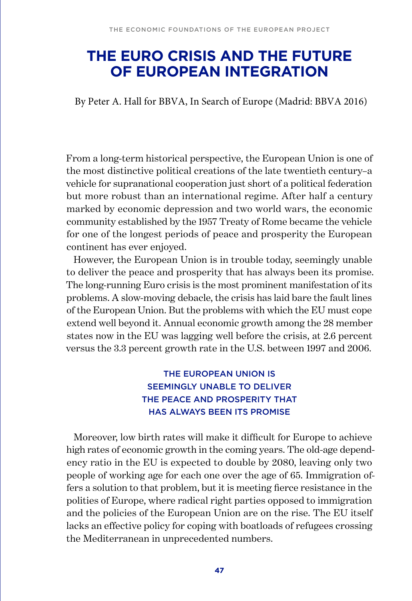# **[THE EURO CRISIS AND THE FUTURE](https://www.bbvaopenmind.com/en/article/the-euro-crisis-and-the-future-of-european-integration/)  [OF EUROPEAN INTEGRATION](https://www.bbvaopenmind.com/en/article/the-euro-crisis-and-the-future-of-european-integration/)**

By Peter A. Hall for BBVA, In Search of Europe (Madrid: BBVA 2016)

From a long-term historical perspective, the European Union is one of the most distinctive political creations of the late twentieth century–a vehicle for supranational cooperation just short of a political federation but more robust than an international regime. After half a century marked by economic depression and two world wars, the economic community established by the 1957 Treaty of Rome became the vehicle for one of the longest periods of peace and prosperity the European continent has ever enjoyed.

However, the European Union is in trouble today, seemingly unable to deliver the peace and prosperity that has always been its promise. The long-running Euro crisis is the most prominent manifestation of its problems. A slow-moving debacle, the crisis has laid bare the fault lines of the European Union. But the problems with which the EU must cope extend well beyond it. Annual economic growth among the 28 member states now in the EU was lagging well before the crisis, at 2.6 percent versus the 3.3 percent growth rate in the U.S. between 1997 and 2006.

> THE EUROPEAN UNION IS SEEMINGLY UNABLE TO DELIVER THE PEACE AND PROSPERITY THAT HAS ALWAYS BEEN ITS PROMISE

Moreover, low birth rates will make it difficult for Europe to achieve high rates of economic growth in the coming years. The old-age dependency ratio in the EU is expected to double by 2080, leaving only two people of working age for each one over the age of 65. Immigration offers a solution to that problem, but it is meeting fierce resistance in the polities of Europe, where radical right parties opposed to immigration and the policies of the European Union are on the rise. The EU itself lacks an effective policy for coping with boatloads of refugees crossing the Mediterranean in unprecedented numbers.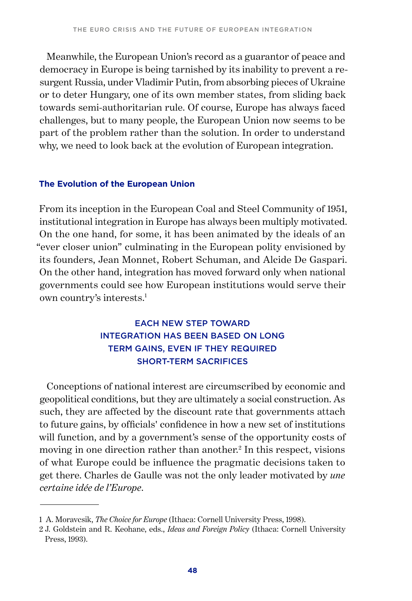Meanwhile, the European Union's record as a guarantor of peace and democracy in Europe is being tarnished by its inability to prevent a resurgent Russia, under Vladimir Putin, from absorbing pieces of Ukraine or to deter Hungary, one of its own member states, from sliding back towards semi-authoritarian rule. Of course, Europe has always faced challenges, but to many people, the European Union now seems to be part of the problem rather than the solution. In order to understand why, we need to look back at the evolution of European integration.

#### **The Evolution of the European Union**

From its inception in the European Coal and Steel Community of 1951, institutional integration in Europe has always been multiply motivated. On the one hand, for some, it has been animated by the ideals of an "ever closer union" culminating in the European polity envisioned by its founders, Jean Monnet, Robert Schuman, and Alcide De Gaspari. On the other hand, integration has moved forward only when national governments could see how European institutions would serve their own country's interests.<sup>1</sup>

### EACH NEW STEP TOWARD INTEGRATION HAS BEEN BASED ON LONG TERM GAINS, EVEN IF THEY REQUIRED SHORT-TERM SACRIFICES

Conceptions of national interest are circumscribed by economic and geopolitical conditions, but they are ultimately a social construction. As such, they are affected by the discount rate that governments attach to future gains, by officials' confidence in how a new set of institutions will function, and by a government's sense of the opportunity costs of moving in one direction rather than another.<sup>2</sup> In this respect, visions of what Europe could be influence the pragmatic decisions taken to get there. Charles de Gaulle was not the only leader motivated by *une certaine idée de l'Europe*.

<sup>1</sup> A. Moravcsik, *The Choice for Europe* (Ithaca: Cornell University Press, 1998).

<sup>2</sup> J. Goldstein and R. Keohane, eds., *Ideas and Foreign Policy* (Ithaca: Cornell University Press, 1993).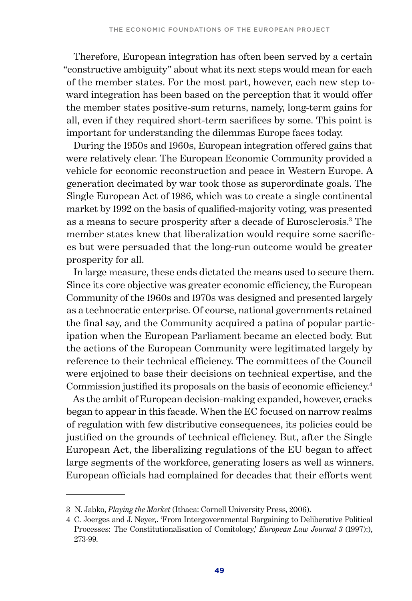Therefore, European integration has often been served by a certain "constructive ambiguity" about what its next steps would mean for each of the member states. For the most part, however, each new step toward integration has been based on the perception that it would offer the member states positive-sum returns, namely, long-term gains for all, even if they required short-term sacrifices by some. This point is important for understanding the dilemmas Europe faces today.

During the 1950s and 1960s, European integration offered gains that were relatively clear. The European Economic Community provided a vehicle for economic reconstruction and peace in Western Europe. A generation decimated by war took those as superordinate goals. The Single European Act of 1986, which was to create a single continental market by 1992 on the basis of qualified-majority voting, was presented as a means to secure prosperity after a decade of Eurosclerosis.<sup>3</sup> The member states knew that liberalization would require some sacrifices but were persuaded that the long-run outcome would be greater prosperity for all.

In large measure, these ends dictated the means used to secure them. Since its core objective was greater economic efficiency, the European Community of the 1960s and 1970s was designed and presented largely as a technocratic enterprise. Of course, national governments retained the final say, and the Community acquired a patina of popular participation when the European Parliament became an elected body. But the actions of the European Community were legitimated largely by reference to their technical efficiency. The committees of the Council were enjoined to base their decisions on technical expertise, and the Commission justified its proposals on the basis of economic efficiency.4

As the ambit of European decision-making expanded, however, cracks began to appear in this facade. When the EC focused on narrow realms of regulation with few distributive consequences, its policies could be justified on the grounds of technical efficiency. But, after the Single European Act, the liberalizing regulations of the EU began to affect large segments of the workforce, generating losers as well as winners. European officials had complained for decades that their efforts went

<sup>3</sup> N. Jabko, *Playing the Market* (Ithaca: Cornell University Press, 2006).

<sup>4</sup> C. Joerges and J. Neyer,. 'From Intergovernmental Bargaining to Deliberative Political Processes: The Constitutionalisation of Comitology,' *European Law Journal 3* (1997):), 273-99.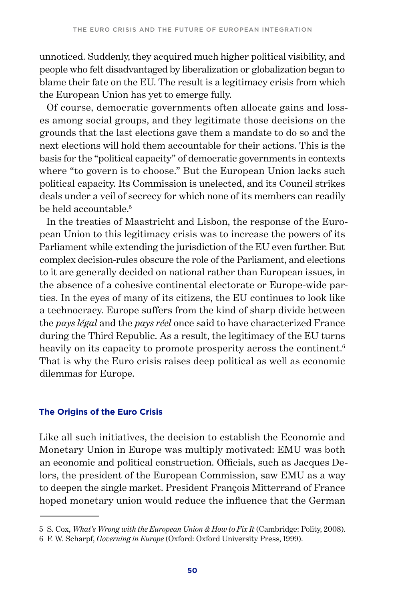unnoticed. Suddenly, they acquired much higher political visibility, and people who felt disadvantaged by liberalization or globalization began to blame their fate on the EU. The result is a legitimacy crisis from which the European Union has yet to emerge fully.

Of course, democratic governments often allocate gains and losses among social groups, and they legitimate those decisions on the grounds that the last elections gave them a mandate to do so and the next elections will hold them accountable for their actions. This is the basis for the "political capacity" of democratic governments in contexts where "to govern is to choose." But the European Union lacks such political capacity. Its Commission is unelected, and its Council strikes deals under a veil of secrecy for which none of its members can readily be held accountable.<sup>5</sup>

In the treaties of Maastricht and Lisbon, the response of the European Union to this legitimacy crisis was to increase the powers of its Parliament while extending the jurisdiction of the EU even further. But complex decision-rules obscure the role of the Parliament, and elections to it are generally decided on national rather than European issues, in the absence of a cohesive continental electorate or Europe-wide parties. In the eyes of many of its citizens, the EU continues to look like a technocracy. Europe suffers from the kind of sharp divide between the *pays légal* and the *pays réel* once said to have characterized France during the Third Republic. As a result, the legitimacy of the EU turns heavily on its capacity to promote prosperity across the continent.<sup>6</sup> That is why the Euro crisis raises deep political as well as economic dilemmas for Europe.

### **The Origins of the Euro Crisis**

Like all such initiatives, the decision to establish the Economic and Monetary Union in Europe was multiply motivated: EMU was both an economic and political construction. Officials, such as Jacques Delors, the president of the European Commission, saw EMU as a way to deepen the single market. President François Mitterrand of France hoped monetary union would reduce the influence that the German

<sup>5</sup> S. Cox, *What's Wrong with the European Union & How to Fix It* (Cambridge: Polity, 2008).

<sup>6</sup> F. W. Scharpf, *Governing in Europe* (Oxford: Oxford University Press, 1999).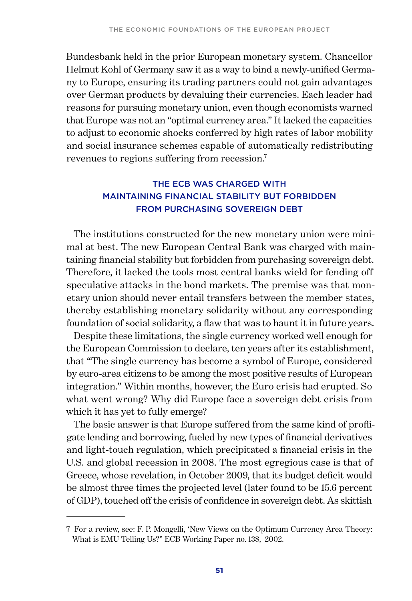Bundesbank held in the prior European monetary system. Chancellor Helmut Kohl of Germany saw it as a way to bind a newly-unified Germany to Europe, ensuring its trading partners could not gain advantages over German products by devaluing their currencies. Each leader had reasons for pursuing monetary union, even though economists warned that Europe was not an "optimal currency area." It lacked the capacities to adjust to economic shocks conferred by high rates of labor mobility and social insurance schemes capable of automatically redistributing revenues to regions suffering from recession.<sup>7</sup>

### THE ECB WAS CHARGED WITH MAINTAINING FINANCIAL STABILITY BUT FORBIDDEN FROM PURCHASING SOVEREIGN DEBT

The institutions constructed for the new monetary union were minimal at best. The new European Central Bank was charged with maintaining financial stability but forbidden from purchasing sovereign debt. Therefore, it lacked the tools most central banks wield for fending off speculative attacks in the bond markets. The premise was that monetary union should never entail transfers between the member states, thereby establishing monetary solidarity without any corresponding foundation of social solidarity, a flaw that was to haunt it in future years.

Despite these limitations, the single currency worked well enough for the European Commission to declare, ten years after its establishment, that "The single currency has become a symbol of Europe, considered by euro-area citizens to be among the most positive results of European integration." Within months, however, the Euro crisis had erupted. So what went wrong? Why did Europe face a sovereign debt crisis from which it has yet to fully emerge?

The basic answer is that Europe suffered from the same kind of profligate lending and borrowing, fueled by new types of financial derivatives and light-touch regulation, which precipitated a financial crisis in the U.S. and global recession in 2008. The most egregious case is that of Greece, whose revelation, in October 2009, that its budget deficit would be almost three times the projected level (later found to be 15.6 percent of GDP), touched off the crisis of confidence in sovereign debt. As skittish

<sup>7</sup> For a review, see: F. P. Mongelli, 'New Views on the Optimum Currency Area Theory: What is EMU Telling Us?" ECB Working Paper no. 138, 2002.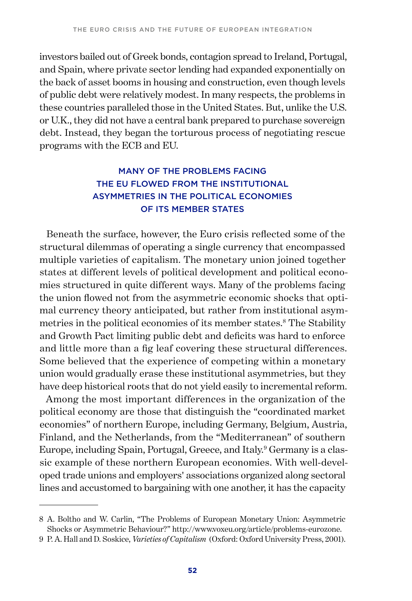investors bailed out of Greek bonds, contagion spread to Ireland, Portugal, and Spain, where private sector lending had expanded exponentially on the back of asset booms in housing and construction, even though levels of public debt were relatively modest. In many respects, the problems in these countries paralleled those in the United States. But, unlike the U.S. or U.K., they did not have a central bank prepared to purchase sovereign debt. Instead, they began the torturous process of negotiating rescue programs with the ECB and EU.

# MANY OF THE PROBLEMS FACING THE EU FLOWED FROM THE INSTITUTIONAL ASYMMETRIES IN THE POLITICAL ECONOMIES OF ITS MEMBER STATES

Beneath the surface, however, the Euro crisis reflected some of the structural dilemmas of operating a single currency that encompassed multiple varieties of capitalism. The monetary union joined together states at different levels of political development and political economies structured in quite different ways. Many of the problems facing the union flowed not from the asymmetric economic shocks that optimal currency theory anticipated, but rather from institutional asymmetries in the political economies of its member states.8 The Stability and Growth Pact limiting public debt and deficits was hard to enforce and little more than a fig leaf covering these structural differences. Some believed that the experience of competing within a monetary union would gradually erase these institutional asymmetries, but they have deep historical roots that do not yield easily to incremental reform.

Among the most important differences in the organization of the political economy are those that distinguish the "coordinated market economies" of northern Europe, including Germany, Belgium, Austria, Finland, and the Netherlands, from the "Mediterranean" of southern Europe, including Spain, Portugal, Greece, and Italy.<sup>9</sup> Germany is a classic example of these northern European economies. With well-developed trade unions and employers' associations organized along sectoral lines and accustomed to bargaining with one another, it has the capacity

<sup>8</sup> A. Boltho and W. Carlin, "The Problems of European Monetary Union: Asymmetric Shocks or Asymmetric Behaviour?" [http://www.voxeu.org/article/problems-](http://www.voxeu.org/article/problems)eurozone.

<sup>9</sup> P. A. Hall and D. Soskice, *Varieties of Capitalism* (Oxford: Oxford University Press, 2001).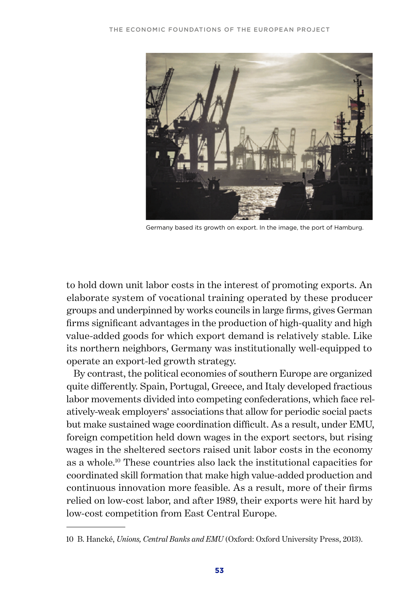

Germany based its growth on export. In the image, the port of Hamburg.

to hold down unit labor costs in the interest of promoting exports. An elaborate system of vocational training operated by these producer groups and underpinned by works councils in large firms, gives German firms significant advantages in the production of high-quality and high value-added goods for which export demand is relatively stable. Like its northern neighbors, Germany was institutionally well-equipped to operate an export-led growth strategy.

By contrast, the political economies of southern Europe are organized quite differently. Spain, Portugal, Greece, and Italy developed fractious labor movements divided into competing confederations, which face relatively-weak employers' associations that allow for periodic social pacts but make sustained wage coordination difficult. As a result, under EMU, foreign competition held down wages in the export sectors, but rising wages in the sheltered sectors raised unit labor costs in the economy as a whole.10 These countries also lack the institutional capacities for coordinated skill formation that make high value-added production and continuous innovation more feasible. As a result, more of their firms relied on low-cost labor, and after 1989, their exports were hit hard by low-cost competition from East Central Europe.

<sup>10</sup> B. Hancké, *Unions, Central Banks and EMU* (Oxford: Oxford University Press, 2013).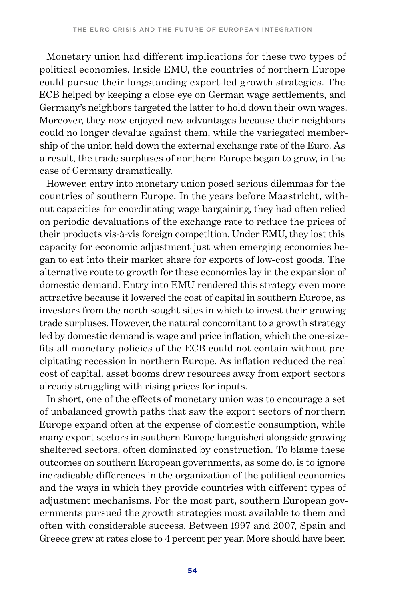Monetary union had different implications for these two types of political economies. Inside EMU, the countries of northern Europe could pursue their longstanding export-led growth strategies. The ECB helped by keeping a close eye on German wage settlements, and Germany's neighbors targeted the latter to hold down their own wages. Moreover, they now enjoyed new advantages because their neighbors could no longer devalue against them, while the variegated membership of the union held down the external exchange rate of the Euro. As a result, the trade surpluses of northern Europe began to grow, in the case of Germany dramatically.

However, entry into monetary union posed serious dilemmas for the countries of southern Europe. In the years before Maastricht, without capacities for coordinating wage bargaining, they had often relied on periodic devaluations of the exchange rate to reduce the prices of their products vis-à-vis foreign competition. Under EMU, they lost this capacity for economic adjustment just when emerging economies began to eat into their market share for exports of low-cost goods. The alternative route to growth for these economies lay in the expansion of domestic demand. Entry into EMU rendered this strategy even more attractive because it lowered the cost of capital in southern Europe, as investors from the north sought sites in which to invest their growing trade surpluses. However, the natural concomitant to a growth strategy led by domestic demand is wage and price inflation, which the one-sizefits-all monetary policies of the ECB could not contain without precipitating recession in northern Europe. As inflation reduced the real cost of capital, asset booms drew resources away from export sectors already struggling with rising prices for inputs.

In short, one of the effects of monetary union was to encourage a set of unbalanced growth paths that saw the export sectors of northern Europe expand often at the expense of domestic consumption, while many export sectors in southern Europe languished alongside growing sheltered sectors, often dominated by construction. To blame these outcomes on southern European governments, as some do, is to ignore ineradicable differences in the organization of the political economies and the ways in which they provide countries with different types of adjustment mechanisms. For the most part, southern European governments pursued the growth strategies most available to them and often with considerable success. Between 1997 and 2007, Spain and Greece grew at rates close to 4 percent per year. More should have been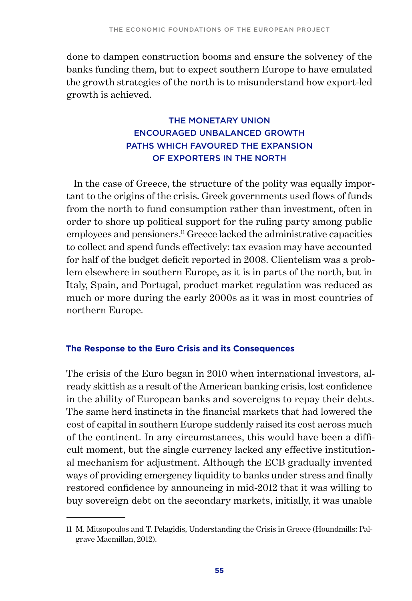done to dampen construction booms and ensure the solvency of the banks funding them, but to expect southern Europe to have emulated the growth strategies of the north is to misunderstand how export-led growth is achieved.

# THE MONETARY UNION ENCOURAGED UNBALANCED GROWTH PATHS WHICH FAVOURED THE EXPANSION OF EXPORTERS IN THE NORTH

In the case of Greece, the structure of the polity was equally important to the origins of the crisis. Greek governments used flows of funds from the north to fund consumption rather than investment, often in order to shore up political support for the ruling party among public employees and pensioners.<sup>11</sup> Greece lacked the administrative capacities to collect and spend funds effectively: tax evasion may have accounted for half of the budget deficit reported in 2008. Clientelism was a problem elsewhere in southern Europe, as it is in parts of the north, but in Italy, Spain, and Portugal, product market regulation was reduced as much or more during the early 2000s as it was in most countries of northern Europe.

### **The Response to the Euro Crisis and its Consequences**

The crisis of the Euro began in 2010 when international investors, already skittish as a result of the American banking crisis, lost confidence in the ability of European banks and sovereigns to repay their debts. The same herd instincts in the financial markets that had lowered the cost of capital in southern Europe suddenly raised its cost across much of the continent. In any circumstances, this would have been a difficult moment, but the single currency lacked any effective institutional mechanism for adjustment. Although the ECB gradually invented ways of providing emergency liquidity to banks under stress and finally restored confidence by announcing in mid-2012 that it was willing to buy sovereign debt on the secondary markets, initially, it was unable

<sup>11</sup> M. Mitsopoulos and T. Pelagidis, Understanding the Crisis in Greece (Houndmills: Palgrave Macmillan, 2012).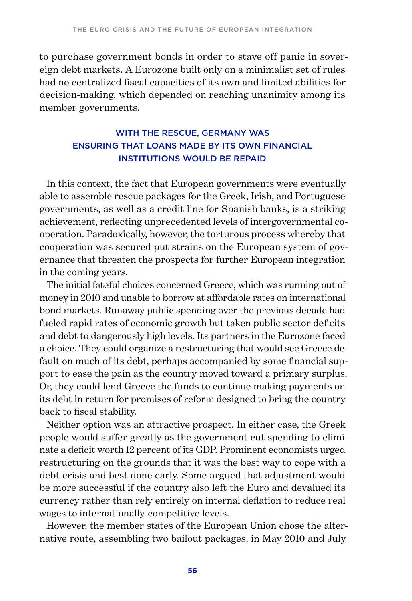to purchase government bonds in order to stave off panic in sovereign debt markets. A Eurozone built only on a minimalist set of rules had no centralized fiscal capacities of its own and limited abilities for decision-making, which depended on reaching unanimity among its member governments.

### WITH THE RESCUE, GERMANY WAS ENSURING THAT LOANS MADE BY ITS OWN FINANCIAL INSTITUTIONS WOULD BE REPAID

In this context, the fact that European governments were eventually able to assemble rescue packages for the Greek, Irish, and Portuguese governments, as well as a credit line for Spanish banks, is a striking achievement, reflecting unprecedented levels of intergovernmental cooperation. Paradoxically, however, the torturous process whereby that cooperation was secured put strains on the European system of governance that threaten the prospects for further European integration in the coming years.

The initial fateful choices concerned Greece, which was running out of money in 2010 and unable to borrow at affordable rates on international bond markets. Runaway public spending over the previous decade had fueled rapid rates of economic growth but taken public sector deficits and debt to dangerously high levels. Its partners in the Eurozone faced a choice. They could organize a restructuring that would see Greece default on much of its debt, perhaps accompanied by some financial support to ease the pain as the country moved toward a primary surplus. Or, they could lend Greece the funds to continue making payments on its debt in return for promises of reform designed to bring the country back to fiscal stability.

Neither option was an attractive prospect. In either case, the Greek people would suffer greatly as the government cut spending to eliminate a deficit worth 12 percent of its GDP. Prominent economists urged restructuring on the grounds that it was the best way to cope with a debt crisis and best done early. Some argued that adjustment would be more successful if the country also left the Euro and devalued its currency rather than rely entirely on internal deflation to reduce real wages to internationally-competitive levels.

However, the member states of the European Union chose the alternative route, assembling two bailout packages, in May 2010 and July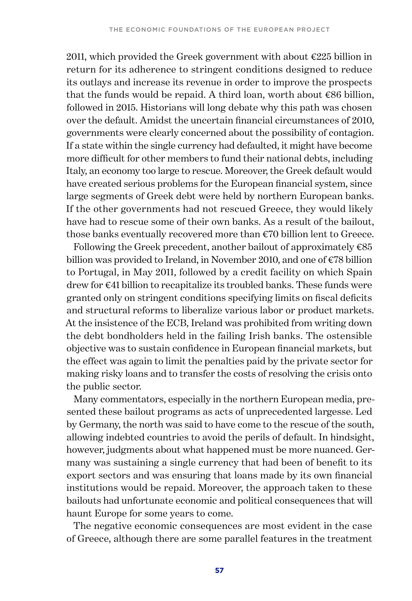2011, which provided the Greek government with about  $\epsilon$ 225 billion in return for its adherence to stringent conditions designed to reduce its outlays and increase its revenue in order to improve the prospects that the funds would be repaid. A third loan, worth about  $\epsilon$ 86 billion, followed in 2015. Historians will long debate why this path was chosen over the default. Amidst the uncertain financial circumstances of 2010, governments were clearly concerned about the possibility of contagion. If a state within the single currency had defaulted, it might have become more difficult for other members to fund their national debts, including Italy, an economy too large to rescue. Moreover, the Greek default would have created serious problems for the European financial system, since large segments of Greek debt were held by northern European banks. If the other governments had not rescued Greece, they would likely have had to rescue some of their own banks. As a result of the bailout, those banks eventually recovered more than €70 billion lent to Greece.

Following the Greek precedent, another bailout of approximately  $\epsilon$ 85 billion was provided to Ireland, in November 2010, and one of €78 billion to Portugal, in May 2011, followed by a credit facility on which Spain drew for €41 billion to recapitalize its troubled banks. These funds were granted only on stringent conditions specifying limits on fiscal deficits and structural reforms to liberalize various labor or product markets. At the insistence of the ECB, Ireland was prohibited from writing down the debt bondholders held in the failing Irish banks. The ostensible objective was to sustain confidence in European financial markets, but the effect was again to limit the penalties paid by the private sector for making risky loans and to transfer the costs of resolving the crisis onto the public sector.

Many commentators, especially in the northern European media, presented these bailout programs as acts of unprecedented largesse. Led by Germany, the north was said to have come to the rescue of the south, allowing indebted countries to avoid the perils of default. In hindsight, however, judgments about what happened must be more nuanced. Germany was sustaining a single currency that had been of benefit to its export sectors and was ensuring that loans made by its own financial institutions would be repaid. Moreover, the approach taken to these bailouts had unfortunate economic and political consequences that will haunt Europe for some years to come.

The negative economic consequences are most evident in the case of Greece, although there are some parallel features in the treatment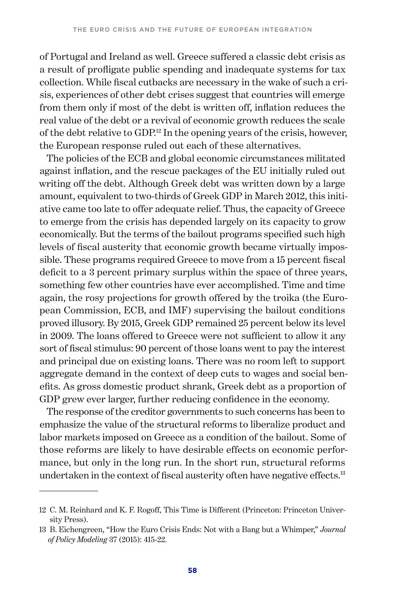of Portugal and Ireland as well. Greece suffered a classic debt crisis as a result of profligate public spending and inadequate systems for tax collection. While fiscal cutbacks are necessary in the wake of such a crisis, experiences of other debt crises suggest that countries will emerge from them only if most of the debt is written off, inflation reduces the real value of the debt or a revival of economic growth reduces the scale of the debt relative to GDP.<sup>12</sup> In the opening years of the crisis, however, the European response ruled out each of these alternatives.

The policies of the ECB and global economic circumstances militated against inflation, and the rescue packages of the EU initially ruled out writing off the debt. Although Greek debt was written down by a large amount, equivalent to two-thirds of Greek GDP in March 2012, this initiative came too late to offer adequate relief. Thus, the capacity of Greece to emerge from the crisis has depended largely on its capacity to grow economically. But the terms of the bailout programs specified such high levels of fiscal austerity that economic growth became virtually impossible. These programs required Greece to move from a 15 percent fiscal deficit to a 3 percent primary surplus within the space of three years, something few other countries have ever accomplished. Time and time again, the rosy projections for growth offered by the troika (the European Commission, ECB, and IMF) supervising the bailout conditions proved illusory. By 2015, Greek GDP remained 25 percent below its level in 2009. The loans offered to Greece were not sufficient to allow it any sort of fiscal stimulus: 90 percent of those loans went to pay the interest and principal due on existing loans. There was no room left to support aggregate demand in the context of deep cuts to wages and social benefits. As gross domestic product shrank, Greek debt as a proportion of GDP grew ever larger, further reducing confidence in the economy.

The response of the creditor governments to such concerns has been to emphasize the value of the structural reforms to liberalize product and labor markets imposed on Greece as a condition of the bailout. Some of those reforms are likely to have desirable effects on economic performance, but only in the long run. In the short run, structural reforms undertaken in the context of fiscal austerity often have negative effects.<sup>13</sup>

<sup>12</sup> C. M. Reinhard and K. F. Rogoff, This Time is Different (Princeton: Princeton University Press).

<sup>13</sup> B. Eichengreen, "How the Euro Crisis Ends: Not with a Bang but a Whimper," *Journal of Policy Modeling* 37 (2015): 415-22.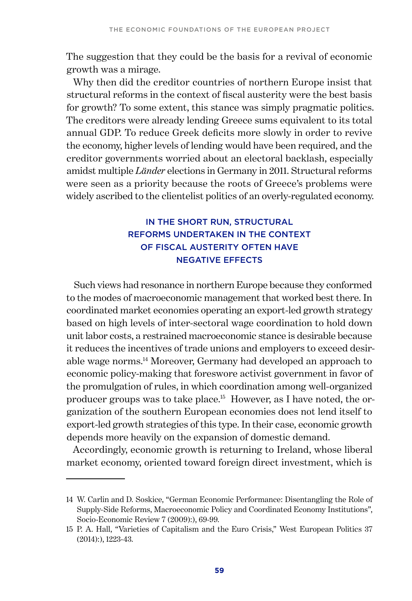The suggestion that they could be the basis for a revival of economic growth was a mirage.

Why then did the creditor countries of northern Europe insist that structural reforms in the context of fiscal austerity were the best basis for growth? To some extent, this stance was simply pragmatic politics. The creditors were already lending Greece sums equivalent to its total annual GDP. To reduce Greek deficits more slowly in order to revive the economy, higher levels of lending would have been required, and the creditor governments worried about an electoral backlash, especially amidst multiple *Länder* elections in Germany in 2011. Structural reforms were seen as a priority because the roots of Greece's problems were widely ascribed to the clientelist politics of an overly-regulated economy.

## IN THE SHORT RUN, STRUCTURAL REFORMS UNDERTAKEN IN THE CONTEXT OF FISCAL AUSTERITY OFTEN HAVE NEGATIVE EFFECTS

Such views had resonance in northern Europe because they conformed to the modes of macroeconomic management that worked best there. In coordinated market economies operating an export-led growth strategy based on high levels of inter-sectoral wage coordination to hold down unit labor costs, a restrained macroeconomic stance is desirable because it reduces the incentives of trade unions and employers to exceed desirable wage norms.14 Moreover, Germany had developed an approach to economic policy-making that foreswore activist government in favor of the promulgation of rules, in which coordination among well-organized producer groups was to take place.15 However, as I have noted, the organization of the southern European economies does not lend itself to export-led growth strategies of this type. In their case, economic growth depends more heavily on the expansion of domestic demand.

Accordingly, economic growth is returning to Ireland, whose liberal market economy, oriented toward foreign direct investment, which is

<sup>14</sup> W. Carlin and D. Soskice, "German Economic Performance: Disentangling the Role of Supply-Side Reforms, Macroeconomic Policy and Coordinated Economy Institutions", Socio-Economic Review 7 (2009):), 69-99.

<sup>15</sup> P. A. Hall, "Varieties of Capitalism and the Euro Crisis," West European Politics 37 (2014):), 1223-43.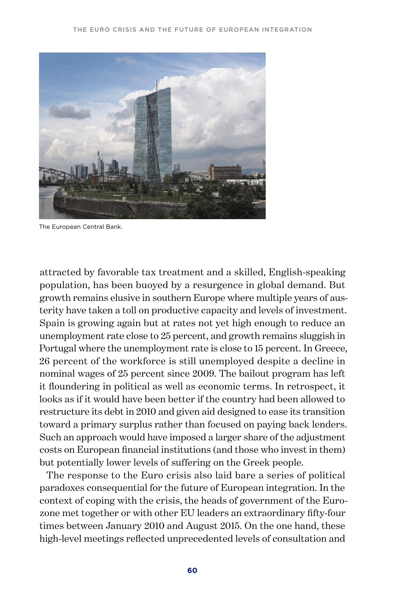

The European Central Bank.

attracted by favorable tax treatment and a skilled, English-speaking population, has been buoyed by a resurgence in global demand. But growth remains elusive in southern Europe where multiple years of austerity have taken a toll on productive capacity and levels of investment. Spain is growing again but at rates not yet high enough to reduce an unemployment rate close to 25 percent, and growth remains sluggish in Portugal where the unemployment rate is close to 15 percent. In Greece, 26 percent of the workforce is still unemployed despite a decline in nominal wages of 25 percent since 2009. The bailout program has left it floundering in political as well as economic terms. In retrospect, it looks as if it would have been better if the country had been allowed to restructure its debt in 2010 and given aid designed to ease its transition toward a primary surplus rather than focused on paying back lenders. Such an approach would have imposed a larger share of the adjustment costs on European financial institutions (and those who invest in them) but potentially lower levels of suffering on the Greek people.

The response to the Euro crisis also laid bare a series of political paradoxes consequential for the future of European integration. In the context of coping with the crisis, the heads of government of the Eurozone met together or with other EU leaders an extraordinary fifty-four times between January 2010 and August 2015. On the one hand, these high-level meetings reflected unprecedented levels of consultation and

**60**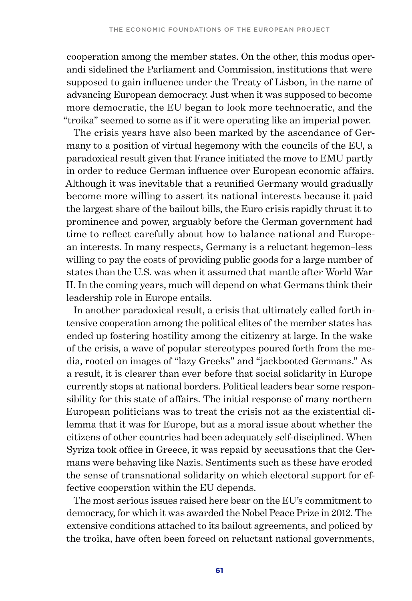cooperation among the member states. On the other, this modus operandi sidelined the Parliament and Commission, institutions that were supposed to gain influence under the Treaty of Lisbon, in the name of advancing European democracy. Just when it was supposed to become more democratic, the EU began to look more technocratic, and the "troika" seemed to some as if it were operating like an imperial power.

The crisis years have also been marked by the ascendance of Germany to a position of virtual hegemony with the councils of the EU, a paradoxical result given that France initiated the move to EMU partly in order to reduce German influence over European economic affairs. Although it was inevitable that a reunified Germany would gradually become more willing to assert its national interests because it paid the largest share of the bailout bills, the Euro crisis rapidly thrust it to prominence and power, arguably before the German government had time to reflect carefully about how to balance national and European interests. In many respects, Germany is a reluctant hegemon–less willing to pay the costs of providing public goods for a large number of states than the U.S. was when it assumed that mantle after World War II. In the coming years, much will depend on what Germans think their leadership role in Europe entails.

In another paradoxical result, a crisis that ultimately called forth intensive cooperation among the political elites of the member states has ended up fostering hostility among the citizenry at large. In the wake of the crisis, a wave of popular stereotypes poured forth from the media, rooted on images of "lazy Greeks" and "jackbooted Germans." As a result, it is clearer than ever before that social solidarity in Europe currently stops at national borders. Political leaders bear some responsibility for this state of affairs. The initial response of many northern European politicians was to treat the crisis not as the existential dilemma that it was for Europe, but as a moral issue about whether the citizens of other countries had been adequately self-disciplined. When Syriza took office in Greece, it was repaid by accusations that the Germans were behaving like Nazis. Sentiments such as these have eroded the sense of transnational solidarity on which electoral support for effective cooperation within the EU depends.

The most serious issues raised here bear on the EU's commitment to democracy, for which it was awarded the Nobel Peace Prize in 2012. The extensive conditions attached to its bailout agreements, and policed by the troika, have often been forced on reluctant national governments,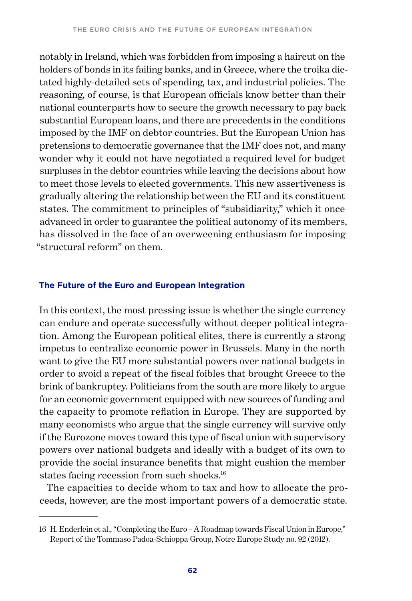notably in Ireland, which was forbidden from imposing a haircut on the holders of bonds in its failing banks, and in Greece, where the troika dictated highly-detailed sets of spending, tax, and industrial policies. The reasoning, of course, is that European officials know better than their national counterparts how to secure the growth necessary to pay back substantial European loans, and there are precedents in the conditions imposed by the IMF on debtor countries. But the European Union has pretensions to democratic governance that the IMF does not, and many wonder why it could not have negotiated a required level for budget surpluses in the debtor countries while leaving the decisions about how to meet those levels to elected governments. This new assertiveness is gradually altering the relationship between the EU and its constituent states. The commitment to principles of "subsidiarity," which it once advanced in order to guarantee the political autonomy of its members, has dissolved in the face of an overweening enthusiasm for imposing "structural reform" on them.

### **The Future of the Euro and European Integration**

In this context, the most pressing issue is whether the single currency can endure and operate successfully without deeper political integration. Among the European political elites, there is currently a strong impetus to centralize economic power in Brussels. Many in the north want to give the EU more substantial powers over national budgets in order to avoid a repeat of the fiscal foibles that brought Greece to the brink of bankruptcy. Politicians from the south are more likely to argue for an economic government equipped with new sources of funding and the capacity to promote reflation in Europe. They are supported by many economists who argue that the single currency will survive only if the Eurozone moves toward this type of fiscal union with supervisory powers over national budgets and ideally with a budget of its own to provide the social insurance benefits that might cushion the member states facing recession from such shocks.<sup>16</sup>

The capacities to decide whom to tax and how to allocate the proceeds, however, are the most important powers of a democratic state.

<sup>16</sup> H. Enderlein et al., "Completing the Euro – A Roadmap towards Fiscal Union in Europe," Report of the Tommaso Padoa-Schioppa Group, Notre Europe Study no. 92 (2012).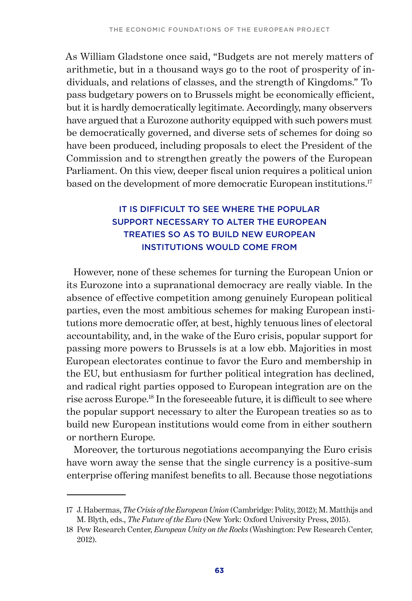As William Gladstone once said, "Budgets are not merely matters of arithmetic, but in a thousand ways go to the root of prosperity of individuals, and relations of classes, and the strength of Kingdoms." To pass budgetary powers on to Brussels might be economically efficient, but it is hardly democratically legitimate. Accordingly, many observers have argued that a Eurozone authority equipped with such powers must be democratically governed, and diverse sets of schemes for doing so have been produced, including proposals to elect the President of the Commission and to strengthen greatly the powers of the European Parliament. On this view, deeper fiscal union requires a political union based on the development of more democratic European institutions.17

# IT IS DIFFICULT TO SEE WHERE THE POPULAR SUPPORT NECESSARY TO ALTER THE EUROPEAN TREATIES SO AS TO BUILD NEW EUROPEAN INSTITUTIONS WOULD COME FROM

However, none of these schemes for turning the European Union or its Eurozone into a supranational democracy are really viable. In the absence of effective competition among genuinely European political parties, even the most ambitious schemes for making European institutions more democratic offer, at best, highly tenuous lines of electoral accountability, and, in the wake of the Euro crisis, popular support for passing more powers to Brussels is at a low ebb. Majorities in most European electorates continue to favor the Euro and membership in the EU, but enthusiasm for further political integration has declined, and radical right parties opposed to European integration are on the rise across Europe.18 In the foreseeable future, it is difficult to see where the popular support necessary to alter the European treaties so as to build new European institutions would come from in either southern or northern Europe.

Moreover, the torturous negotiations accompanying the Euro crisis have worn away the sense that the single currency is a positive-sum enterprise offering manifest benefits to all. Because those negotiations

<sup>17</sup> J. Habermas, *The Crisis of the European Union* (Cambridge: Polity, 2012); M. Matthijs and M. Blyth, eds., *The Future of the Euro* (New York: Oxford University Press, 2015).

<sup>18</sup> Pew Research Center, *European Unity on the Rocks* (Washington: Pew Research Center, 2012).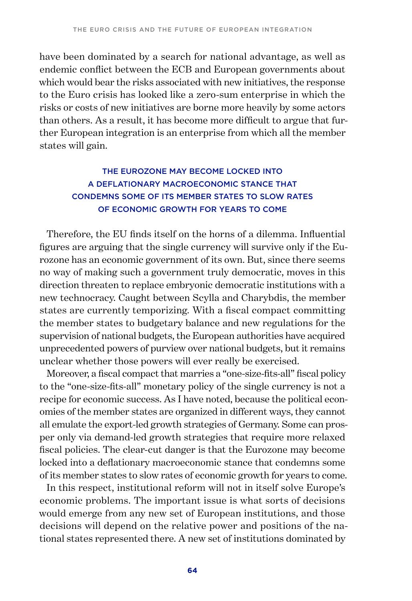have been dominated by a search for national advantage, as well as endemic conflict between the ECB and European governments about which would bear the risks associated with new initiatives, the response to the Euro crisis has looked like a zero-sum enterprise in which the risks or costs of new initiatives are borne more heavily by some actors than others. As a result, it has become more difficult to argue that further European integration is an enterprise from which all the member states will gain.

# THE EUROZONE MAY BECOME LOCKED INTO A DEFLATIONARY MACROECONOMIC STANCE THAT CONDEMNS SOME OF ITS MEMBER STATES TO SLOW RATES OF ECONOMIC GROWTH FOR YEARS TO COME

Therefore, the EU finds itself on the horns of a dilemma. Influential figures are arguing that the single currency will survive only if the Eurozone has an economic government of its own. But, since there seems no way of making such a government truly democratic, moves in this direction threaten to replace embryonic democratic institutions with a new technocracy. Caught between Scylla and Charybdis, the member states are currently temporizing. With a fiscal compact committing the member states to budgetary balance and new regulations for the supervision of national budgets, the European authorities have acquired unprecedented powers of purview over national budgets, but it remains unclear whether those powers will ever really be exercised.

Moreover, a fiscal compact that marries a "one-size-fits-all" fiscal policy to the "one-size-fits-all" monetary policy of the single currency is not a recipe for economic success. As I have noted, because the political economies of the member states are organized in different ways, they cannot all emulate the export-led growth strategies of Germany. Some can prosper only via demand-led growth strategies that require more relaxed fiscal policies. The clear-cut danger is that the Eurozone may become locked into a deflationary macroeconomic stance that condemns some of its member states to slow rates of economic growth for years to come.

In this respect, institutional reform will not in itself solve Europe's economic problems. The important issue is what sorts of decisions would emerge from any new set of European institutions, and those decisions will depend on the relative power and positions of the national states represented there. A new set of institutions dominated by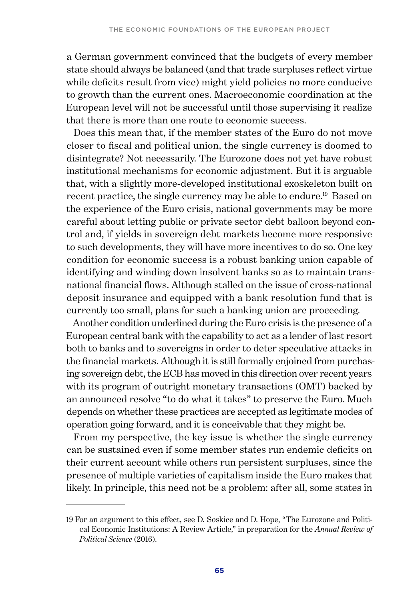a German government convinced that the budgets of every member state should always be balanced (and that trade surpluses reflect virtue while deficits result from vice) might yield policies no more conducive to growth than the current ones. Macroeconomic coordination at the European level will not be successful until those supervising it realize that there is more than one route to economic success.

Does this mean that, if the member states of the Euro do not move closer to fiscal and political union, the single currency is doomed to disintegrate? Not necessarily. The Eurozone does not yet have robust institutional mechanisms for economic adjustment. But it is arguable that, with a slightly more-developed institutional exoskeleton built on recent practice, the single currency may be able to endure.19 Based on the experience of the Euro crisis, national governments may be more careful about letting public or private sector debt balloon beyond control and, if yields in sovereign debt markets become more responsive to such developments, they will have more incentives to do so. One key condition for economic success is a robust banking union capable of identifying and winding down insolvent banks so as to maintain transnational financial flows. Although stalled on the issue of cross-national deposit insurance and equipped with a bank resolution fund that is currently too small, plans for such a banking union are proceeding.

Another condition underlined during the Euro crisis is the presence of a European central bank with the capability to act as a lender of last resort both to banks and to sovereigns in order to deter speculative attacks in the financial markets. Although it is still formally enjoined from purchasing sovereign debt, the ECB has moved in this direction over recent years with its program of outright monetary transactions (OMT) backed by an announced resolve "to do what it takes" to preserve the Euro. Much depends on whether these practices are accepted as legitimate modes of operation going forward, and it is conceivable that they might be.

From my perspective, the key issue is whether the single currency can be sustained even if some member states run endemic deficits on their current account while others run persistent surpluses, since the presence of multiple varieties of capitalism inside the Euro makes that likely. In principle, this need not be a problem: after all, some states in

<sup>19</sup> For an argument to this effect, see D. Soskice and D. Hope, "The Eurozone and Political Economic Institutions: A Review Article," in preparation for the *Annual Review of Political Science* (2016).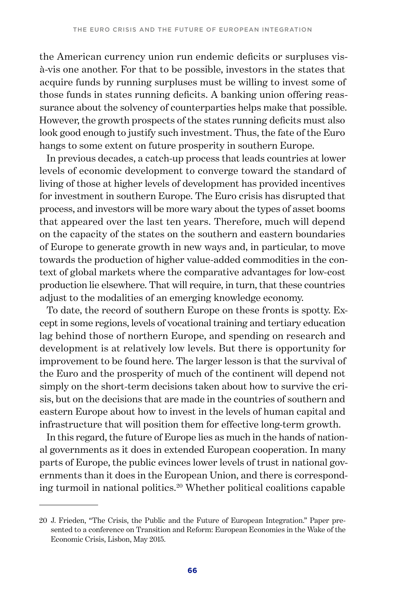the American currency union run endemic deficits or surpluses visà-vis one another. For that to be possible, investors in the states that acquire funds by running surpluses must be willing to invest some of those funds in states running deficits. A banking union offering reassurance about the solvency of counterparties helps make that possible. However, the growth prospects of the states running deficits must also look good enough to justify such investment. Thus, the fate of the Euro hangs to some extent on future prosperity in southern Europe.

In previous decades, a catch-up process that leads countries at lower levels of economic development to converge toward the standard of living of those at higher levels of development has provided incentives for investment in southern Europe. The Euro crisis has disrupted that process, and investors will be more wary about the types of asset booms that appeared over the last ten years. Therefore, much will depend on the capacity of the states on the southern and eastern boundaries of Europe to generate growth in new ways and, in particular, to move towards the production of higher value-added commodities in the context of global markets where the comparative advantages for low-cost production lie elsewhere. That will require, in turn, that these countries adjust to the modalities of an emerging knowledge economy.

To date, the record of southern Europe on these fronts is spotty. Except in some regions, levels of vocational training and tertiary education lag behind those of northern Europe, and spending on research and development is at relatively low levels. But there is opportunity for improvement to be found here. The larger lesson is that the survival of the Euro and the prosperity of much of the continent will depend not simply on the short-term decisions taken about how to survive the crisis, but on the decisions that are made in the countries of southern and eastern Europe about how to invest in the levels of human capital and infrastructure that will position them for effective long-term growth.

In this regard, the future of Europe lies as much in the hands of national governments as it does in extended European cooperation. In many parts of Europe, the public evinces lower levels of trust in national governments than it does in the European Union, and there is corresponding turmoil in national politics.20 Whether political coalitions capable

<sup>20</sup> J. Frieden, "The Crisis, the Public and the Future of European Integration." Paper presented to a conference on Transition and Reform: European Economies in the Wake of the Economic Crisis, Lisbon, May 2015.